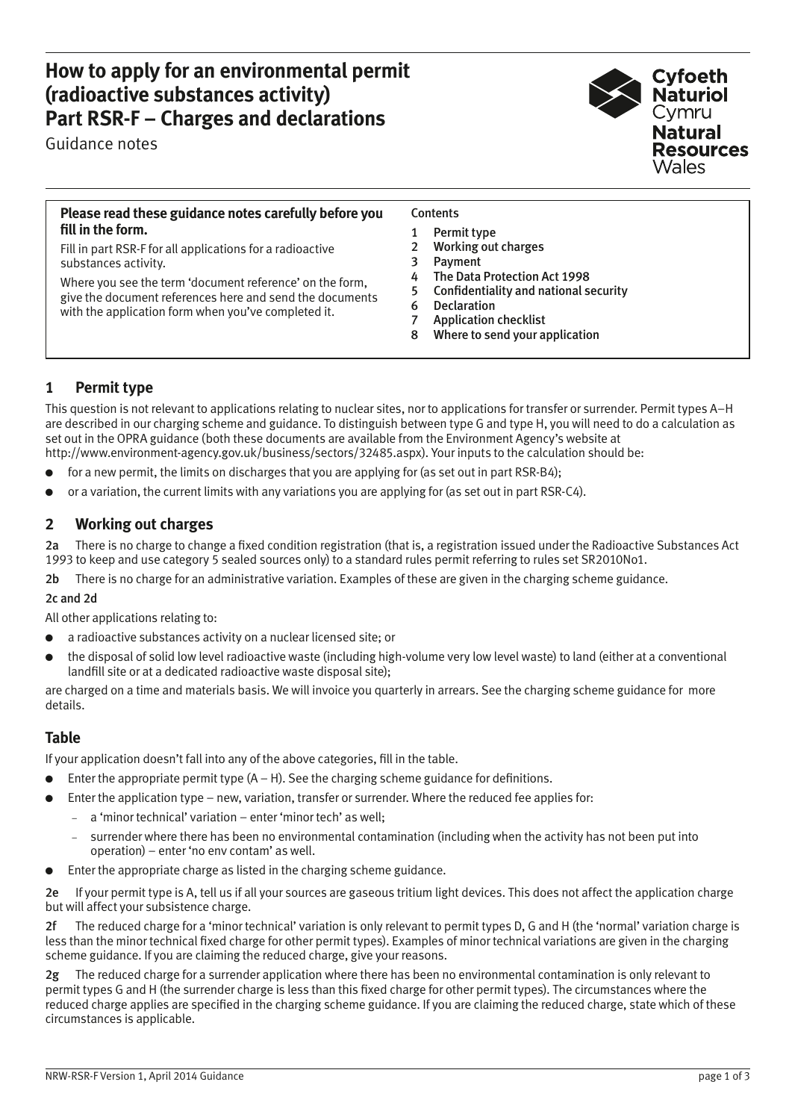## **How to apply for an environmental permit (radioactive substances activity) Part RSR-F – Charges and declarations**

Guidance notes

# Cyfoeth Naturiol **Natural Resources**

#### **Please read these guidance notes carefully before you fill in the form.**

Fill in part RSR-F for all applications for a radioactive substances activity.

Where you see the term 'document reference' on the form, give the document references here and send the documents with the application form when you've completed it.

#### **Contents**

- 1 Permit type
- 2 Working out charges
- 3 **Payment**
- 4 The Data Protection Act 1998
- 5 Confidentiality and national security
- 6 Declaration
- 7 Application checklist
- 8 Where to send your application

## **1 Permit type**

This question is not relevant to applications relating to nuclear sites, nor to applications for transfer or surrender. Permit types A–H are described in our charging scheme and guidance. To distinguish between type G and type H, you will need to do a calculation as set out in the OPRA guidance (both these documents are available from the Environment Agency's website at http://www.environment-agency.gov.uk/business/sectors/32485.aspx). Your inputs to the calculation should be:

- for a new permit, the limits on discharges that you are applying for (as set out in part RSR-B4);
- or a variation, the current limits with any variations you are applying for (as set out in part RSR-C4).

## **2 Working out charges**

2a There is no charge to change a fixed condition registration (that is, a registration issued under the Radioactive Substances Act 1993 to keep and use category 5 sealed sources only) to a standard rules permit referring to rules set SR2010No1.

2b There is no charge for an administrative variation. Examples of these are given in the charging scheme guidance.

#### 2c and 2d

All other applications relating to:

- a radioactive substances activity on a nuclear licensed site; or
- the disposal of solid low level radioactive waste (including high-volume very low level waste) to land (either at a conventional landfill site or at a dedicated radioactive waste disposal site);

are charged on a time and materials basis. We will invoice you quarterly in arrears. See the charging scheme guidance for more details.

## **Table**

If your application doesn't fall into any of the above categories, fill in the table.

- Enter the appropriate permit type  $(A H)$ . See the charging scheme guidance for definitions.
- Enter the application type new, variation, transfer or surrender. Where the reduced fee applies for:
	- − a 'minor technical' variation enter 'minor tech' as well;
	- surrender where there has been no environmental contamination (including when the activity has not been put into operation) – enter 'no env contam' as well.
- Enter the appropriate charge as listed in the charging scheme guidance.

2e If your permit type is A, tell us if all your sources are gaseous tritium light devices. This does not affect the application charge but will affect your subsistence charge.

2f The reduced charge for a 'minor technical' variation is only relevant to permit types D, G and H (the 'normal' variation charge is less than the minor technical fixed charge for other permit types). Examples of minor technical variations are given in the charging scheme guidance. If you are claiming the reduced charge, give your reasons.

2g The reduced charge for a surrender application where there has been no environmental contamination is only relevant to permit types G and H (the surrender charge is less than this fixed charge for other permit types). The circumstances where the reduced charge applies are specified in the charging scheme guidance. If you are claiming the reduced charge, state which of these circumstances is applicable.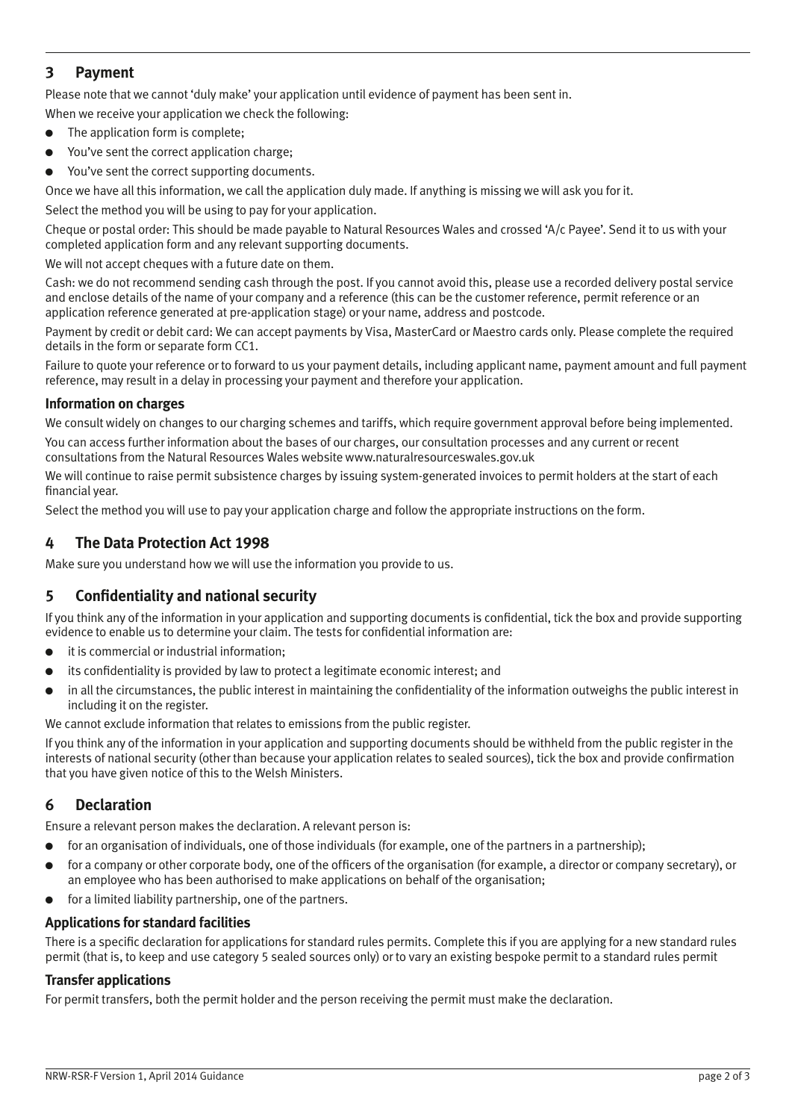## **3 Payment**

Please note that we cannot 'duly make' your application until evidence of payment has been sent in.

When we receive your application we check the following:

- The application form is complete;
- You've sent the correct application charge;
- You've sent the correct supporting documents.

Once we have all this information, we call the application duly made. If anything is missing we will ask you for it.

Select the method you will be using to pay for your application.

Cheque or postal order: This should be made payable to Natural Resources Wales and crossed 'A/c Payee'. Send it to us with your completed application form and any relevant supporting documents.

We will not accept cheques with a future date on them.

Cash: we do not recommend sending cash through the post. If you cannot avoid this, please use a recorded delivery postal service and enclose details of the name of your company and a reference (this can be the customer reference, permit reference or an application reference generated at pre-application stage) or your name, address and postcode.

Payment by credit or debit card: We can accept payments by Visa, MasterCard or Maestro cards only. Please complete the required details in the form or separate form CC1.

Failure to quote your reference or to forward to us your payment details, including applicant name, payment amount and full payment reference, may result in a delay in processing your payment and therefore your application.

#### **Information on charges**

We consult widely on changes to our charging schemes and tariffs, which require government approval before being implemented.

You can access further information about the bases of our charges, our consultation processes and any current or recent consultations from the Natural Resources Wales website www.naturalresourceswales.gov.uk

We will continue to raise permit subsistence charges by issuing system-generated invoices to permit holders at the start of each financial year.

Select the method you will use to pay your application charge and follow the appropriate instructions on the form.

### **4 The Data Protection Act 1998**

Make sure you understand how we will use the information you provide to us.

## **5 Confidentiality and national security**

If you think any of the information in your application and supporting documents is confidential, tick the box and provide supporting evidence to enable us to determine your claim. The tests for confidential information are:

- it is commercial or industrial information;
- its confidentiality is provided by law to protect a legitimate economic interest; and
- in all the circumstances, the public interest in maintaining the confidentiality of the information outweighs the public interest in including it on the register.

We cannot exclude information that relates to emissions from the public register.

If you think any of the information in your application and supporting documents should be withheld from the public register in the interests of national security (other than because your application relates to sealed sources), tick the box and provide confirmation that you have given notice of this to the Welsh Ministers.

## **6 Declaration**

Ensure a relevant person makes the declaration. A relevant person is:

- for an organisation of individuals, one of those individuals (for example, one of the partners in a partnership);
- for a company or other corporate body, one of the officers of the organisation (for example, a director or company secretary), or an employee who has been authorised to make applications on behalf of the organisation;
- for a limited liability partnership, one of the partners.

#### **Applications for standard facilities**

There is a specific declaration for applications for standard rules permits. Complete this if you are applying for a new standard rules permit (that is, to keep and use category 5 sealed sources only) or to vary an existing bespoke permit to a standard rules permit

#### **Transfer applications**

For permit transfers, both the permit holder and the person receiving the permit must make the declaration.